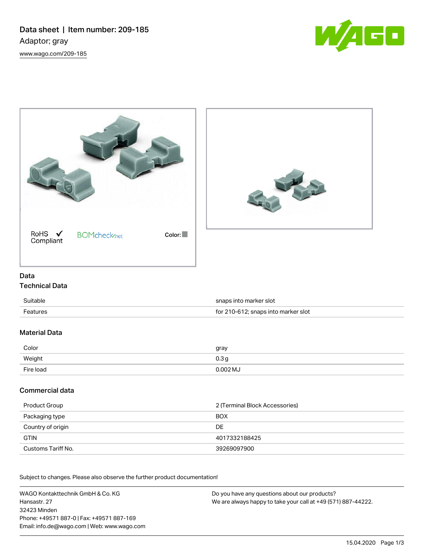



## Data

## Technical Data

| Suitable        | snaps into marker slot              |
|-----------------|-------------------------------------|
| <b>Features</b> | for 210-612; snaps into marker slot |

# Material Data

| Color     | gray       |
|-----------|------------|
| Weight    | 0.3 g      |
| Fire load | $0.002$ MJ |

## Commercial data

| Product Group      | 2 (Terminal Block Accessories) |
|--------------------|--------------------------------|
| Packaging type     | <b>BOX</b>                     |
| Country of origin  | DE                             |
| <b>GTIN</b>        | 4017332188425                  |
| Customs Tariff No. | 39269097900                    |

Subject to changes. Please also observe the further product documentation!

WAGO Kontakttechnik GmbH & Co. KG Hansastr. 27 32423 Minden Phone: +49571 887-0 | Fax: +49571 887-169 Email: info.de@wago.com | Web: www.wago.com

Do you have any questions about our products? We are always happy to take your call at +49 (571) 887-44222.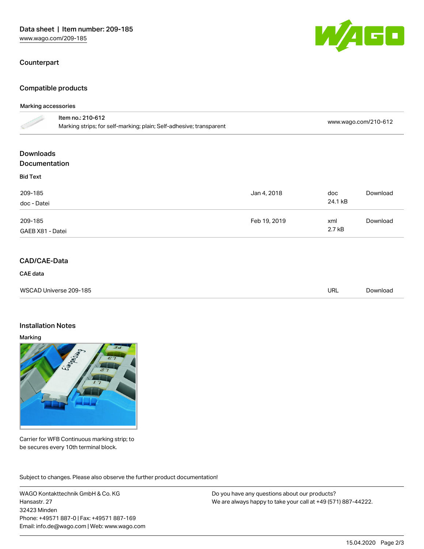### Counterpart

## Compatible products

#### Marking accessories

|                                          | Item no.: 210-612<br>Marking strips; for self-marking; plain; Self-adhesive; transparent |              |                | www.wago.com/210-612 |  |
|------------------------------------------|------------------------------------------------------------------------------------------|--------------|----------------|----------------------|--|
| <b>Downloads</b><br><b>Documentation</b> |                                                                                          |              |                |                      |  |
| <b>Bid Text</b>                          |                                                                                          |              |                |                      |  |
| 209-185<br>doc - Datei                   |                                                                                          | Jan 4, 2018  | doc<br>24.1 kB | Download             |  |
| 209-185<br>GAEB X81 - Datei              |                                                                                          | Feb 19, 2019 | xml<br>2.7 kB  | Download             |  |

## CAD/CAE-Data

#### CAE data

| WSCAD Universe 209-185 | URL | Download |
|------------------------|-----|----------|
|                        |     |          |

### Installation Notes

#### Marking



Carrier for WFB Continuous marking strip; to be secures every 10th terminal block.

Subject to changes. Please also observe the further product documentation!

WAGO Kontakttechnik GmbH & Co. KG Hansastr. 27 32423 Minden Phone: +49571 887-0 | Fax: +49571 887-169 Email: info.de@wago.com | Web: www.wago.com Do you have any questions about our products? We are always happy to take your call at +49 (571) 887-44222.